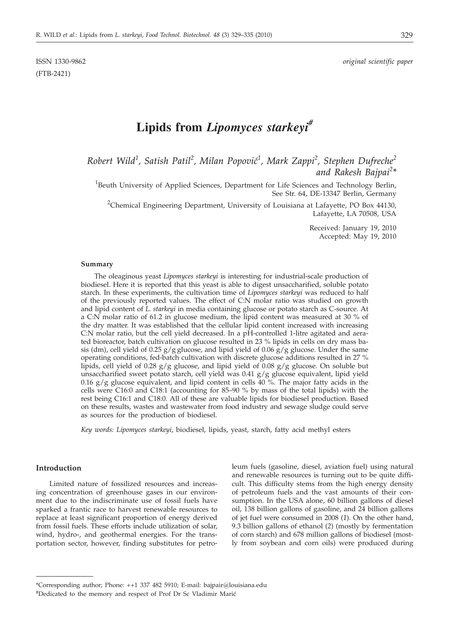(FTB-2421)

# **Lipids from** *Lipomyces starkeyi#*

*Robert Wild<sup>1</sup> , Satish Patil<sup>2</sup> , Milan Popovi}<sup>1</sup> , Mark Zappi<sup>2</sup> , Stephen Dufreche<sup>2</sup> and Rakesh Bajpai<sup>2</sup> \**

<sup>1</sup>Beuth University of Applied Sciences, Department for Life Sciences and Technology Berlin, See Str. 64, DE-13347 Berlin, Germany

<sup>2</sup>Chemical Engineering Department, University of Louisiana at Lafayette, PO Box 44130, Lafayette, LA 70508, USA

> Received: January 19, 2010 Accepted: May 19, 2010

#### **Summary**

The oleaginous yeast *Lipomyces starkeyi* is interesting for industrial-scale production of biodiesel. Here it is reported that this yeast is able to digest unsaccharified, soluble potato starch. In these experiments, the cultivation time of *Lipomyces starkeyi* was reduced to half of the previously reported values. The effect of C:N molar ratio was studied on growth and lipid content of *L. starkeyi* in media containing glucose or potato starch as C-source. At a C:N molar ratio of 61.2 in glucose medium, the lipid content was measured at 30 % of the dry matter. It was established that the cellular lipid content increased with increasing C:N molar ratio, but the cell yield decreased. In a pH-controlled 1-litre agitated and aerated bioreactor, batch cultivation on glucose resulted in 23 % lipids in cells on dry mass basis (dm), cell yield of 0.25  $g/g$  glucose, and lipid yield of 0.06  $g/g$  glucose. Under the same operating conditions, fed-batch cultivation with discrete glucose additions resulted in 27 % lipids, cell yield of 0.28  $g/g$  glucose, and lipid yield of 0.08  $g/g$  glucose. On soluble but unsaccharified sweet potato starch, cell yield was 0.41 g/g glucose equivalent, lipid yield 0.16  $g/g$  glucose equivalent, and lipid content in cells  $40\%$ . The major fatty acids in the cells were C16:0 and C18:1 (accounting for 85–90 % by mass of the total lipids) with the rest being C16:1 and C18:0. All of these are valuable lipids for biodiesel production. Based on these results, wastes and wastewater from food industry and sewage sludge could serve as sources for the production of biodiesel.

*Key words: Lipomyces starkeyi*, biodiesel, lipids, yeast, starch, fatty acid methyl esters

# **Introduction**

Limited nature of fossilized resources and increasing concentration of greenhouse gases in our environment due to the indiscriminate use of fossil fuels have sparked a frantic race to harvest renewable resources to replace at least significant proportion of energy derived from fossil fuels. These efforts include utilization of solar, wind, hydro-, and geothermal energies. For the transportation sector, however, finding substitutes for petroleum fuels (gasoline, diesel, aviation fuel) using natural and renewable resources is turning out to be quite difficult. This difficulty stems from the high energy density of petroleum fuels and the vast amounts of their consumption. In the USA alone, 60 billion gallons of diesel oil, 138 billion gallons of gasoline, and 24 billion gallons of jet fuel were consumed in 2008 (*1*). On the other hand, 9.3 billion gallons of ethanol (*2*) (mostly by fermentation of corn starch) and 678 million gallons of biodiesel (mostly from soybean and corn oils) were produced during

<sup>\*</sup>Corresponding author; Phone: ++1 337 482 5910; E-mail: bajpair@louisiana.edu

<sup>#</sup>Dedicated to the memory and respect of Prof Dr Sc Vladimir Marić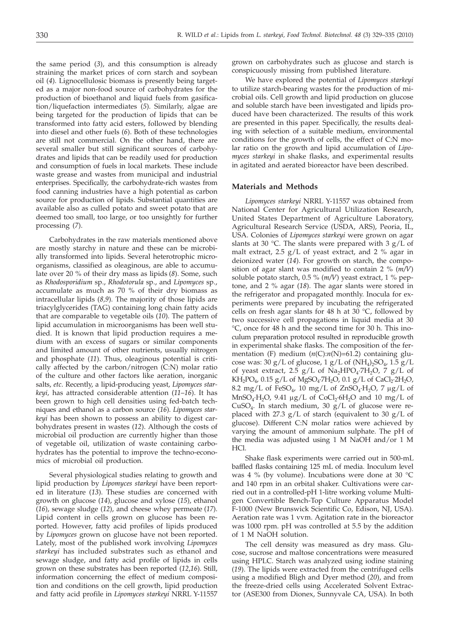the same period (*3*), and this consumption is already straining the market prices of corn starch and soybean oil (*4*). Lignocellulosic biomass is presently being targeted as a major non-food source of carbohydrates for the production of bioethanol and liquid fuels from gasification/liquefaction intermediates (*5*). Similarly, algae are being targeted for the production of lipids that can be transformed into fatty acid esters, followed by blending into diesel and other fuels (*6*). Both of these technologies are still not commercial. On the other hand, there are several smaller but still significant sources of carbohydrates and lipids that can be readily used for production and consumption of fuels in local markets. These include waste grease and wastes from municipal and industrial enterprises. Specifically, the carbohydrate-rich wastes from food canning industries have a high potential as carbon source for production of lipids. Substantial quantities are available also as culled potato and sweet potato that are deemed too small, too large, or too unsightly for further processing (*7*).

Carbohydrates in the raw materials mentioned above are mostly starchy in nature and these can be microbially transformed into lipids. Several heterotrophic microorganisms, classified as oleaginous, are able to accumulate over 20 % of their dry mass as lipids (*8*). Some, such as *Rhodosporidium* sp., *Rhodotorula* sp., and *Lipomyces* sp., accumulate as much as 70 % of their dry biomass as intracellular lipids (*8,9*). The majority of those lipids are triacylglycerides (TAG) containing long chain fatty acids that are comparable to vegetable oils (*10*). The pattern of lipid accumulation in microorganisms has been well studied. It is known that lipid production requires a medium with an excess of sugars or similar components and limited amount of other nutrients, usually nitrogen and phosphate (*11*). Thus, oleaginous potential is critically affected by the carbon/nitrogen (C:N) molar ratio of the culture and other factors like aeration, inorganic salts, *etc*. Recently, a lipid-producing yeast, *Lipomyces starkeyi,* has attracted considerable attention (*11*–*16*). It has been grown to high cell densities using fed-batch techniques and ethanol as a carbon source (*16*). *Lipomyces starkeyi* has been shown to possess an ability to digest carbohydrates present in wastes (*12*). Although the costs of microbial oil production are currently higher than those of vegetable oil, utilization of waste containing carbohydrates has the potential to improve the techno-economics of microbial oil production.

Several physiological studies relating to growth and lipid production by *Lipomyces starkeyi* have been reported in literature (*13*). These studies are concerned with growth on glucose (*14*), glucose and xylose (*15*), ethanol (*16*), sewage sludge (*12*), and cheese whey permeate (*17*). Lipid content in cells grown on glucose has been reported. However, fatty acid profiles of lipids produced by *Lipomyces* grown on glucose have not been reported. Lately, most of the published work involving *Lipomyces starkeyi* has included substrates such as ethanol and sewage sludge, and fatty acid profile of lipids in cells grown on these substrates has been reported (*12*,*16*). Still, information concerning the effect of medium composition and conditions on the cell growth, lipid production and fatty acid profile in *Lipomyces starkeyi* NRRL Y-11557

grown on carbohydrates such as glucose and starch is conspicuously missing from published literature.

We have explored the potential of *Lipomyces starkeyi* to utilize starch-bearing wastes for the production of microbial oils. Cell growth and lipid production on glucose and soluble starch have been investigated and lipids produced have been characterized. The results of this work are presented in this paper. Specifically, the results dealing with selection of a suitable medium, environmental conditions for the growth of cells, the effect of C:N molar ratio on the growth and lipid accumulation of *Lipomyces starkeyi* in shake flasks, and experimental results in agitated and aerated bioreactor have been described.

## **Materials and Methods**

*Lipomyces starkeyi* NRRL Y-11557 was obtained from National Center for Agricultural Utilization Research, United States Department of Agriculture Laboratory, Agricultural Research Service (USDA, ARS), Peoria, IL, USA. Colonies of *Lipomyces starkeyi* were grown on agar slants at 30 °C. The slants were prepared with 3  $g/L$  of malt extract, 2.5 g/L of yeast extract, and 2 % agar in deionized water (*14*). For growth on starch, the composition of agar slant was modified to contain 2 % (*m/V*) soluble potato starch, 0.5 % (*m/V*) yeast extract, 1 % peptone, and 2 % agar (*18*). The agar slants were stored in the refrigerator and propagated monthly. Inocula for experiments were prepared by incubating the refrigerated cells on fresh agar slants for 48 h at 30  $^{\circ}$ C, followed by two successive cell propagations in liquid media at 30 °C, once for 48 h and the second time for 30 h. This inoculum preparation protocol resulted in reproducible growth in experimental shake flasks. The composition of the fermentation (F) medium  $(n(C):n(N)=61.2)$  containing glucose was: 30 g/L of glucose,  $1 g/L$  of  $(NH_4)$ ,  $SO_4$ ,  $1.5 g/L$ of yeast extract, 2.5  $g/L$  of Na<sub>2</sub>HPO<sub>4</sub>·7H<sub>2</sub>O, 7  $g/L$  of  $KH_2PO_4$ , 0.15 g/L of MgSO<sub>4</sub>·7H<sub>2</sub>O, 0.1 g/L of CaCl<sub>2</sub>·2H<sub>2</sub>O, 8.2 mg/L of FeSO<sub>4</sub>, 10 mg/L of ZnSO<sub>4</sub>·H<sub>2</sub>O, 7  $\mu$ g/L of  $MnSO_4·H_2O$ , 9.41 µg/L of  $CoCl_2·6H_2O$  and 10 mg/L of CuSO<sub>4</sub>. In starch medium, 30  $g/L$  of glucose were replaced with 27.3  $g/L$  of starch (equivalent to 30  $g/L$  of glucose). Different C:N molar ratios were achieved by varying the amount of ammonium sulphate. The pH of the media was adjusted using 1 M NaOH and/or 1 M HCl.

Shake flask experiments were carried out in 500-mL baffled flasks containing 125 mL of media. Inoculum level was 4 % (by volume). Incubations were done at 30  $^{\circ}$ C and 140 rpm in an orbital shaker. Cultivations were carried out in a controlled-pH 1-litre working volume Multigen Convertible Bench-Top Culture Apparatus Model F-1000 (New Brunswick Scientific Co, Edison, NJ, USA). Aeration rate was 1 vvm. Agitation rate in the bioreactor was 1000 rpm. pH was controlled at 5.5 by the addition of 1 M NaOH solution.

The cell density was measured as dry mass. Glucose, sucrose and maltose concentrations were measured using HPLC. Starch was analyzed using iodine staining (*19*). The lipids were extracted from the centrifuged cells using a modified Bligh and Dyer method (*20*), and from the freeze-dried cells using Accelerated Solvent Extractor (ASE300 from Dionex, Sunnyvale CA, USA). In both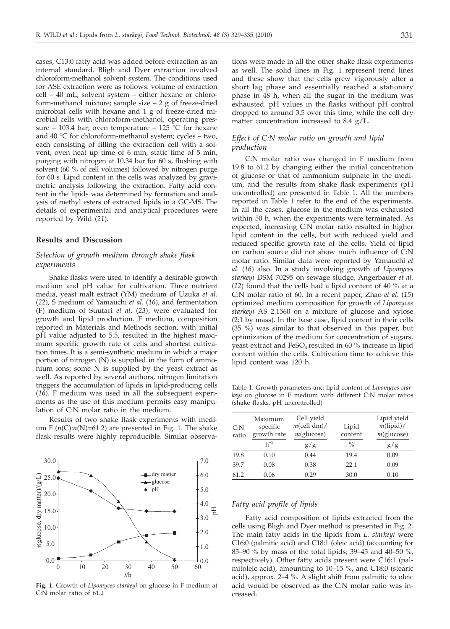cases, C13:0 fatty acid was added before extraction as an internal standard. Bligh and Dyer extraction involved chloroform-methanol solvent system. The conditions used for ASE extraction were as follows: volume of extraction cell – 40 mL; solvent system – either hexane or chloroform-methanol mixture; sample size – 2 g of freeze-dried microbial cells with hexane and 1 g of freeze-dried microbial cells with chloroform-methanol; operating pressure – 103.4 bar; oven temperature – 125  $\degree$ C for hexane and 40 °C for chloroform-methanol system; cycles – two, each consisting of filling the extraction cell with a solvent, oven heat up time of 6 min, static time of 5 min, purging with nitrogen at 10.34 bar for 60 s, flushing with solvent (60 % of cell volumes) followed by nitrogen purge for 60 s. Lipid content in the cells was analyzed by gravimetric analysis following the extraction. Fatty acid content in the lipids was determined by formation and analysis of methyl esters of extracted lipids in a GC-MS. The details of experimental and analytical procedures were reported by Wild (*21*).

### **Results and Discussion**

## *Selection of growth medium through shake flask experiments*

Shake flasks were used to identify a desirable growth medium and pH value for cultivation. Three nutrient media, yeast malt extract (YM) medium of Uzuka *et al*. (*22*), S medium of Yamauchi *et al*. (*16*), and fermentation (F) medium of Suutari *et al*. (*23*), were evaluated for growth and lipid production. F medium, composition reported in Materials and Methods section, with initial pH value adjusted to 5.5, resulted in the highest maximum specific growth rate of cells and shortest cultivation times. It is a semi-synthetic medium in which a major portion of nitrogen (N) is supplied in the form of ammonium ions; some N is supplied by the yeast extract as well. As reported by several authors, nitrogen limitation triggers the accumulation of lipids in lipid-producing cells (*16*). F medium was used in all the subsequent experiments as the use of this medium permits easy manipulation of C:N molar ratio in the medium.

Results of two shake flask experiments with medium F  $(n(C):n(N)=61.2)$  are presented in Fig. 1. The shake flask results were highly reproducible. Similar observa-



**Fig. 1.** Growth of *Lipomyces starkeyi* on glucose in F medium at C:N molar ratio of 61.2

tions were made in all the other shake flask experiments as well. The solid lines in Fig. 1 represent trend lines and these show that the cells grew vigorously after a short lag phase and essentially reached a stationary phase in 48 h, when all the sugar in the medium was exhausted. pH values in the flasks without pH control dropped to around 3.5 over this time, while the cell dry matter concentration increased to 8.4 g/L.

# *Effect of C:N molar ratio on growth and lipid production*

C:N molar ratio was changed in F medium from 19.8 to 61.2 by changing either the initial concentration of glucose or that of ammonium sulphate in the medium, and the results from shake flask experiments (pH uncontrolled) are presented in Table 1. All the numbers reported in Table 1 refer to the end of the experiments. In all the cases, glucose in the medium was exhausted within 50 h, when the experiments were terminated. As expected, increasing C:N molar ratio resulted in higher lipid content in the cells, but with reduced yield and reduced specific growth rate of the cells. Yield of lipid on carbon source did not show much influence of C:N molar ratio. Similar data were reported by Yamauchi *et al.* (*16*) also. In a study involving growth of *Lipomyces starkeyi* DSM 70295 on sewage sludge, Angerbauer *et al.* (*12*) found that the cells had a lipid content of 40 % at a C:N molar ratio of 60. In a recent paper, Zhao *et al.* (*15*) optimized medium composition for growth of *Lipomyces starkeyi* AS 2.1560 on a mixture of glucose and xylose (2:1 by mass). In the base case, lipid content in their cells (35 %) was similar to that observed in this paper, but optimization of the medium for concentration of sugars, yeast extract and  $FeSO<sub>4</sub>$  resulted in 60 % increase in lipid content within the cells. Cultivation time to achieve this lipid content was 120 h.

Table 1. Growth parameters and lipid content of *Lipomyces starkeyi* on glucose in F medium with different C:N molar ratios (shake flasks, pH uncontrolled)

| C: N<br>ratio | Maximum<br>specific<br>growth rate | Cell yield<br>$m$ (cell dm)/<br>$m$ (glucose) | Lipid<br>content | Lipid yield<br>$m(lipid)$ /<br>$m$ (glucose) |
|---------------|------------------------------------|-----------------------------------------------|------------------|----------------------------------------------|
|               | $h^{-1}$                           | g/g                                           | $\%$             | g/g                                          |
| 19.8          | 0.10                               | 0.44                                          | 19.4             | 0.09                                         |
| 39.7          | 0.08                               | 0.38                                          | 22.1             | 0.09                                         |
| 61.2          | 0.06                               | 0.29                                          | 30.0             | 0.10                                         |

## *Fatty acid profile of lipids*

Fatty acid composition of lipids extracted from the cells using Bligh and Dyer method is presented in Fig. 2. The main fatty acids in the lipids from *L. starkeyi* were C16:0 (palmitic acid) and C18:1 (oleic acid) (accounting for 85–90  $\%$  by mass of the total lipids; 39–45 and 40–50 %, respectively). Other fatty acids present were C16:1 (palmitoleic acid), amounting to 10–15 %, and C18:0 (stearic acid), approx. 2–4 %. A slight shift from palmitic to oleic acid would be observed as the C:N molar ratio was increased.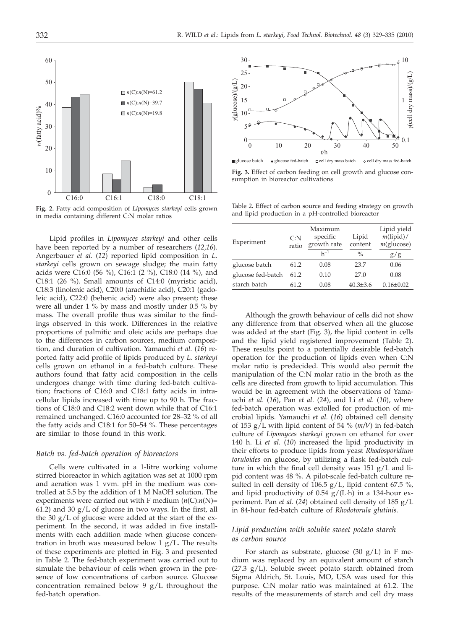



Lipid profiles in *Lipomyces starkeyi* and other cells have been reported by a number of researchers (*12*,*16*). Angerbauer *et al.* (*12*) reported lipid composition in *L. starkeyi* cells grown on sewage sludge; the main fatty acids were C16:0 (56 %), C16:1 (2 %), C18:0 (14 %), and C18:1 (26 %). Small amounts of C14:0 (myristic acid), C18:3 (linolenic acid), C20:0 (arachidic acid), C20:1 (gadoleic acid), C22:0 (behenic acid) were also present; these were all under 1 % by mass and mostly under 0.5 % by mass. The overall profile thus was similar to the findings observed in this work. Differences in the relative proportions of palmitic and oleic acids are perhaps due to the differences in carbon sources, medium composition, and duration of cultivation. Yamauchi *et al.* (*16*) reported fatty acid profile of lipids produced by *L. starkeyi* cells grown on ethanol in a fed-batch culture. These authors found that fatty acid composition in the cells undergoes change with time during fed-batch cultivation; fractions of C16:0 and C18:1 fatty acids in intracellular lipids increased with time up to 90 h. The fractions of C18:0 and C18:2 went down while that of C16:1 remained unchanged. C16:0 accounted for 28–32 % of all the fatty acids and C18:1 for 50–54 %. These percentages are similar to those found in this work.

#### *Batch vs. fed-batch operation of bioreactors*

Cells were cultivated in a 1-litre working volume stirred bioreactor in which agitation was set at 1000 rpm and aeration was 1 vvm. pH in the medium was controlled at 5.5 by the addition of 1 M NaOH solution. The experiments were carried out with F medium (*n*(C):*n*(N)= 61.2) and 30  $g/L$  of glucose in two ways. In the first, all the 30 g/L of glucose were added at the start of the experiment. In the second, it was added in five installments with each addition made when glucose concentration in broth was measured below 1 g/L. The results of these experiments are plotted in Fig. 3 and presented in Table 2. The fed-batch experiment was carried out to simulate the behaviour of cells when grown in the presence of low concentrations of carbon source. Glucose concentration remained below 9  $g/L$  throughout the fed-batch operation.



**Fig. 3.** Effect of carbon feeding on cell growth and glucose consumption in bioreactor cultivations

Table 2**.** Effect of carbon source and feeding strategy on growth and lipid production in a pH-controlled bioreactor

| Experiment        | C: N<br>ratio | Maximum<br>specific<br>growth rate | Lipid<br>content | Lipid yield<br>$m(lipid)$ /<br>$m$ (glucose) |  |
|-------------------|---------------|------------------------------------|------------------|----------------------------------------------|--|
|                   |               | $h^{-1}$                           | $\%$             | g/g                                          |  |
| glucose batch     | 61.2          | 0.08                               | 23.7             | 0.06                                         |  |
| glucose fed-batch | 61.2          | 0.10                               | 27.0             | 0.08                                         |  |
| starch batch      | 61.2          | 0.08                               | $40.3 \pm 3.6$   | $0.16 \pm 0.02$                              |  |

Although the growth behaviour of cells did not show any difference from that observed when all the glucose was added at the start (Fig. 3), the lipid content in cells and the lipid yield registered improvement (Table 2). These results point to a potentially desirable fed-batch operation for the production of lipids even when C:N molar ratio is predecided. This would also permit the manipulation of the C:N molar ratio in the broth as the cells are directed from growth to lipid accumulation. This would be in agreement with the observations of Yamauchi *et al.* (*16*), Pan *et al*. (*24*), and Li *et al.* (*10*), where fed-batch operation was extolled for production of microbial lipids. Yamauchi *et al.* (*16*) obtained cell density of 153 g/L with lipid content of 54 % (*m/V*) in fed-batch culture of *Lipomyces starkeyi* grown on ethanol for over 140 h. Li *et al.* (*10*) increased the lipid productivity in their efforts to produce lipids from yeast *Rhodosporidium toruloides* on glucose, by utilizing a flask fed-batch culture in which the final cell density was 151 g/L and lipid content was 48 %. A pilot-scale fed-batch culture resulted in cell density of 106.5 g/L, lipid content 67.5 %, and lipid productivity of  $0.54$  g/(L·h) in a 134-hour experiment. Pan *et al*. (*24*) obtained cell density of 185 g/L in 84-hour fed-batch culture of *Rhodotorula glutinis*.

# *Lipid production with soluble sweet potato starch as carbon source*

For starch as substrate, glucose  $(30 \text{ g/L})$  in F medium was replaced by an equivalent amount of starch (27.3 g/L). Soluble sweet potato starch obtained from Sigma Aldrich, St. Louis, MO, USA was used for this purpose. C:N molar ratio was maintained at 61.2. The results of the measurements of starch and cell dry mass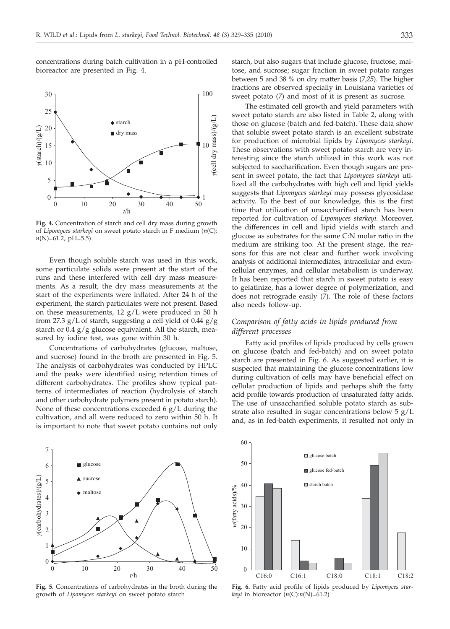concentrations during batch cultivation in a pH-controlled bioreactor are presented in Fig. 4.



**Fig. 4.** Concentration of starch and cell dry mass during growth of *Lipomyces starkeyi* on sweet potato starch in F medium (*n*(C): *n*(N)=61.2, pH=5.5)

Even though soluble starch was used in this work, some particulate solids were present at the start of the runs and these interfered with cell dry mass measurements. As a result, the dry mass measurements at the start of the experiments were inflated. After 24 h of the experiment, the starch particulates were not present. Based on these measurements,  $12 g/L$  were produced in 50 h from 27.3  $g/L$  of starch, suggesting a cell yield of 0.44  $g/g$ starch or 0.4 g/g glucose equivalent. All the starch, measured by iodine test, was gone within 30 h.

Concentrations of carbohydrates (glucose, maltose, and sucrose) found in the broth are presented in Fig. 5. The analysis of carbohydrates was conducted by HPLC and the peaks were identified using retention times of different carbohydrates. The profiles show typical patterns of intermediates of reaction (hydrolysis of starch and other carbohydrate polymers present in potato starch). None of these concentrations exceeded  $6 \frac{g}{L}$  during the cultivation, and all were reduced to zero within 50 h. It is important to note that sweet potato contains not only



**Fig. 5.** Concentrations of carbohydrates in the broth during the growth of *Lipomyces starkeyi* on sweet potato starch

starch, but also sugars that include glucose, fructose, maltose, and sucrose; sugar fraction in sweet potato ranges between 5 and 38 % on dry matter basis (*7*,*25*). The higher fractions are observed specially in Louisiana varieties of sweet potato (*7*) and most of it is present as sucrose.

The estimated cell growth and yield parameters with sweet potato starch are also listed in Table 2, along with those on glucose (batch and fed-batch). These data show that soluble sweet potato starch is an excellent substrate for production of microbial lipids by *Lipomyces starkeyi*. These observations with sweet potato starch are very interesting since the starch utilized in this work was not subjected to saccharification. Even though sugars are present in sweet potato, the fact that *Lipomyces starkeyi* utilized all the carbohydrates with high cell and lipid yields suggests that *Lipomyces starkeyi* may possess glycosidase activity. To the best of our knowledge, this is the first time that utilization of unsaccharified starch has been reported for cultivation of *Lipomyces starkeyi.* Moreover, the differences in cell and lipid yields with starch and glucose as substrates for the same C:N molar ratio in the medium are striking too. At the present stage, the reasons for this are not clear and further work involving analysis of additional intermediates, intracellular and extracellular enzymes, and cellular metabolism is underway. It has been reported that starch in sweet potato is easy to gelatinize, has a lower degree of polymerization, and does not retrograde easily (*7*). The role of these factors also needs follow-up.

# *Comparison of fatty acids in lipids produced from different processes*

Fatty acid profiles of lipids produced by cells grown on glucose (batch and fed-batch) and on sweet potato starch are presented in Fig. 6. As suggested earlier, it is suspected that maintaining the glucose concentrations low during cultivation of cells may have beneficial effect on cellular production of lipids and perhaps shift the fatty acid profile towards production of unsaturated fatty acids. The use of unsaccharified soluble potato starch as substrate also resulted in sugar concentrations below 5 g/L and, as in fed-batch experiments, it resulted not only in



**Fig. 6.** Fatty acid profile of lipids produced by *Lipomyces starkeyi* in bioreactor  $(n(C):n(N)=61.2)$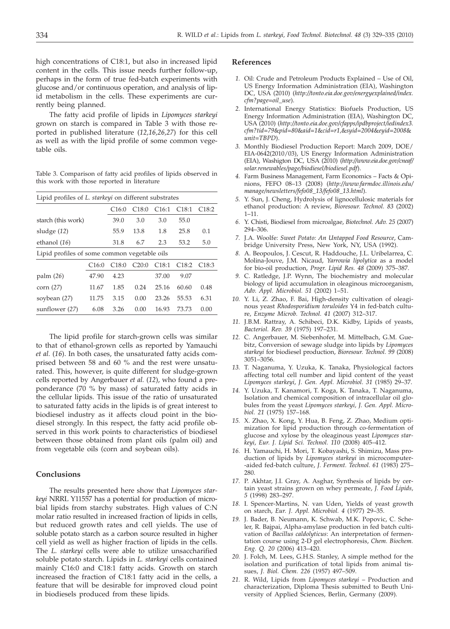high concentrations of C18:1, but also in increased lipid content in the cells. This issue needs further follow-up, perhaps in the form of true fed-batch experiments with glucose and/or continuous operation, and analysis of lipid metabolism in the cells. These experiments are currently being planned.

The fatty acid profile of lipids in *Lipomyces starkeyi* grown on starch is compared in Table 3 with those reported in published literature (*12,16,26,27*) for this cell as well as with the lipid profile of some common vegetable oils.

Table 3. Comparison of fatty acid profiles of lipids observed in this work with those reported in literature

| Lipid profiles of L. starkeyi on different substrates |       |       |       |       |       |                   |  |  |  |  |
|-------------------------------------------------------|-------|-------|-------|-------|-------|-------------------|--|--|--|--|
|                                                       |       | C16:0 | C18:0 | C16:1 | C18:1 | C18:2             |  |  |  |  |
| starch (this work)                                    | 39.0  | 3.0   | 3.0   | 55.0  |       |                   |  |  |  |  |
| sludge $(12)$                                         | 55.9  | 13.8  | 1.8   | 25.8  | 0.1   |                   |  |  |  |  |
| ethanol (16)                                          | 31.8  | 6.7   | 2.3   | 53.2  | 5.0   |                   |  |  |  |  |
| Lipid profiles of some common vegetable oils          |       |       |       |       |       |                   |  |  |  |  |
|                                                       | C16:0 | C18:0 | C20:0 | C18:1 | C18:2 | C <sub>18:3</sub> |  |  |  |  |
| palm(26)                                              | 47.90 | 4.23  |       | 37.00 | 9.07  |                   |  |  |  |  |
| corn $(27)$                                           | 11.67 | 1.85  | 0.24  | 25.16 | 60.60 | 0.48              |  |  |  |  |
| soybean (27)                                          | 11.75 | 3.15  | 0.00  | 23.26 | 55.53 | 6.31              |  |  |  |  |
| sunflower (27)                                        | 6.08  | 3.26  | 0.00  | 16.93 | 73.73 | 0.00              |  |  |  |  |

The lipid profile for starch-grown cells was similar to that of ethanol-grown cells as reported by Yamauchi *et al.* (*16*). In both cases, the unsaturated fatty acids comprised between 58 and 60 % and the rest were unsaturated. This, however, is quite different for sludge-grown cells reported by Angerbauer *et al.* (*12*), who found a preponderance (70 % by mass) of saturated fatty acids in the cellular lipids. This issue of the ratio of unsaturated to saturated fatty acids in the lipids is of great interest to biodiesel industry as it affects cloud point in the biodiesel strongly. In this respect, the fatty acid profile observed in this work points to characteristics of biodiesel between those obtained from plant oils (palm oil) and from vegetable oils (corn and soybean oils).

## **Conclusions**

The results presented here show that *Lipomyces starkeyi* NRRL Y11557 has a potential for production of microbial lipids from starchy substrates. High values of C:N molar ratio resulted in increased fraction of lipids in cells, but reduced growth rates and cell yields. The use of soluble potato starch as a carbon source resulted in higher cell yield as well as higher fraction of lipids in the cells. The *L. starkeyi* cells were able to utilize unsaccharified soluble potato starch. Lipids in *L. starkeyi* cells contained mainly C16:0 and C18:1 fatty acids. Growth on starch increased the fraction of C18:1 fatty acid in the cells, a feature that will be desirable for improved cloud point in biodiesels produced from these lipids.

#### **References**

- *1.* Oil: Crude and Petroleum Products Explained Use of Oil, US Energy Information Administration (EIA), Washington DC, USA (2010) (*http://tonto.eia.doe.gov/energyexplained/index. cfm?page=oil\_use*).
- *2.* International Energy Statistics: Biofuels Production, US Energy Information Administration (EIA), Washington DC, USA (2010) (*http://tonto.eia.doe.gov/cfapps/ipdbproject/iedindex3. cfm?tid=79*&*pid=80*&*aid=1*&*cid=r1,*&*syid=2004*&*eyid=2008*& *unit=TBPD*).
- *3.* Monthly Biodiesel Production Report: March 2009, DOE/ EIA-0642(2010/03), US Energy Information Administration (EIA), Washigton DC, USA (2010) (*http://www.eia.doe.gov/cneaf/ solar.renewables/page/biodiesel/biodiesel.pdf*).
- *4.* Farm Business Management, Farm Economics Facts & Opinions, FEFO 08–13 (2008) (*http://www.farmdoc.illinois.edu/ manage/newsletters/fefo08\_13/fefo08\_13.html*).
- *5.* Y. Sun, J. Cheng, Hydrolysis of lignocellulosic materials for ethanol production: A review, *Bioresour. Technol. 83* (2002) 1–11.
- *6.* Y. Chisti, Biodiesel from microalgae, *Biotechnol. Adv. 25* (2007) 294–306.
- *7.* J.A. Woolfe: *Sweet Potato: An Untapped Food Resource*, Cambridge University Press, New York, NY, USA (1992).
- *8.* A. Beopoulos, J. Cescut, R. Haddouche, J.L. Uribelarrea, C. Molina-Jouve, J.M. Nicaud, *Yarrowia lipolytica* as a model for bio-oil production, *Progr. Lipid Res. 48* (2009) 375–387.
- *9.* C. Ratledge, J.P. Wynn, The biochemistry and molecular biology of lipid accumulation in oleaginous microorganism, *Adv. Appl. Microbiol. 51* (2002) 1–51.
- *10.* Y. Li, Z. Zhao, F. Bai, High-density cultivation of oleaginous yeast *Rhodosporidium toruloides* Y4 in fed-batch culture, *Enzyme Microb. Technol. 41* (2007) 312–317.
- *11.* J.B.M. Rattray, A. Schibeci, D.K. Kidby, Lipids of yeasts, *Bacteriol. Rev. 39* (1975) 197–231.
- *12.* C. Angerbauer, M. Siebenhofer, M. Mittelbach, G.M. Guebitz, Conversion of sewage sludge into lipids by *Lipomyces starkeyi* for biodiesel production, *Bioresour. Technol. 99* (2008) 3051–3056.
- *13.* T. Naganuma, Y. Uzuka, K. Tanaka, Physiological factors affecting total cell number and lipid content of the yeast *Lipomyces starkeyi*, *J. Gen. Appl. Microbiol. 31* (1985) 29–37.
- *14.* Y. Uzuka, T. Kanamori, T. Koga, K. Tanaka, T. Naganuma, Isolation and chemical composition of intracellular oil globules from the yeast *Lipomyces starkeyi, J. Gen. Appl. Microbiol. 21* (1975) 157–168.
- *15.* X. Zhao, X. Kong, Y. Hua, B. Feng, Z. Zhao, Medium optimization for lipid production through co-fermentation of glucose and xylose by the oleaginous yeast *Lipomyces starkeyi*, *Eur. J. Lipid Sci. Technol. 110* (2008) 405–412.
- *16.* H. Yamauchi, H. Mori, T. Kobayashi, S. Shimizu, Mass production of lipids by *Lipomyces starkeyi* in microcomputer- -aided fed-batch culture, *J. Ferment. Technol. 61* (1983) 275– 280.
- *17.* P. Akhtar, J.I. Gray, A. Asghar, Synthesis of lipids by certain yeast strains grown on whey permeate, *J. Food Lipids, 5* (1998) 283–297.
- *18.* I. Spencer-Martins, N. van Uden, Yields of yeast growth on starch, *Eur. J. Appl. Microbiol. 4* (1977) 29–35.
- *19.* J. Bader, B. Neumann, K. Schwab, M.K. Popovic, C. Scheler, R. Bajpai, Alpha-amylase production in fed batch cultivation of *Bacillus caldolyticus*: An interpretation of fermentation course using 2-D gel electrophoresis, *Chem. Biochem. Eng. Q. 20* (2006) 413–420.
- *20.* J. Folch, M. Lees, G.H.S. Stanley, A simple method for the isolation and purification of total lipids from animal tissues, *J. Biol. Chem. 226* (1957) 497–509.
- *21.* R. Wild, Lipids from *Lipomyces starkeyi* Production and characterization, Diploma Thesis submitted to Beuth University of Applied Sciences, Berlin, Germany (2009).